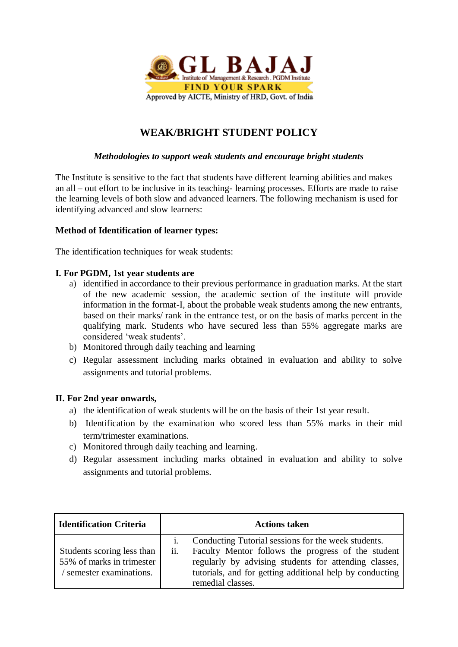

## **WEAK/BRIGHT STUDENT POLICY**

#### *Methodologies to support weak students and encourage bright students*

The Institute is sensitive to the fact that students have different learning abilities and makes an all – out effort to be inclusive in its teaching- learning processes. Efforts are made to raise the learning levels of both slow and advanced learners. The following mechanism is used for identifying advanced and slow learners:

#### **Method of Identification of learner types:**

The identification techniques for weak students:

#### **I. For PGDM, 1st year students are**

- a) identified in accordance to their previous performance in graduation marks. At the start of the new academic session, the academic section of the institute will provide information in the format-I, about the probable weak students among the new entrants, based on their marks/ rank in the entrance test, or on the basis of marks percent in the qualifying mark. Students who have secured less than 55% aggregate marks are considered 'weak students'.
- b) Monitored through daily teaching and learning
- c) Regular assessment including marks obtained in evaluation and ability to solve assignments and tutorial problems.

#### **II. For 2nd year onwards,**

- a) the identification of weak students will be on the basis of their 1st year result.
- b) Identification by the examination who scored less than 55% marks in their mid term/trimester examinations.
- c) Monitored through daily teaching and learning.
- d) Regular assessment including marks obtained in evaluation and ability to solve assignments and tutorial problems.

| <b>Identification Criteria</b>                                                    | <b>Actions taken</b> |                                                                                                                                                                                                                                                     |  |  |
|-----------------------------------------------------------------------------------|----------------------|-----------------------------------------------------------------------------------------------------------------------------------------------------------------------------------------------------------------------------------------------------|--|--|
| Students scoring less than<br>55% of marks in trimester<br>semester examinations. | ii.                  | Conducting Tutorial sessions for the week students.<br>Faculty Mentor follows the progress of the student<br>regularly by advising students for attending classes,<br>tutorials, and for getting additional help by conducting<br>remedial classes. |  |  |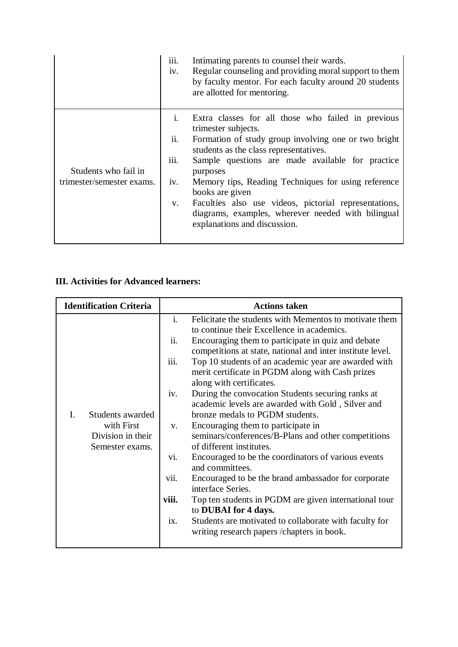|                                                   | iii.<br>iv.                                | Intimating parents to counsel their wards.<br>Regular counseling and providing moral support to them<br>by faculty mentor. For each faculty around 20 students<br>are allotted for mentoring.                                                                                                                                                                                                                                                                        |
|---------------------------------------------------|--------------------------------------------|----------------------------------------------------------------------------------------------------------------------------------------------------------------------------------------------------------------------------------------------------------------------------------------------------------------------------------------------------------------------------------------------------------------------------------------------------------------------|
| Students who fail in<br>trimester/semester exams. | $\mathbf{i}$ .<br>ii.<br>iii.<br>iv.<br>V. | Extra classes for all those who failed in previous<br>trimester subjects.<br>Formation of study group involving one or two bright<br>students as the class representatives.<br>Sample questions are made available for practice<br>purposes<br>Memory tips, Reading Techniques for using reference<br>books are given<br>Faculties also use videos, pictorial representations,<br>diagrams, examples, wherever needed with bilingual<br>explanations and discussion. |

### **III. Activities for Advanced learners:**